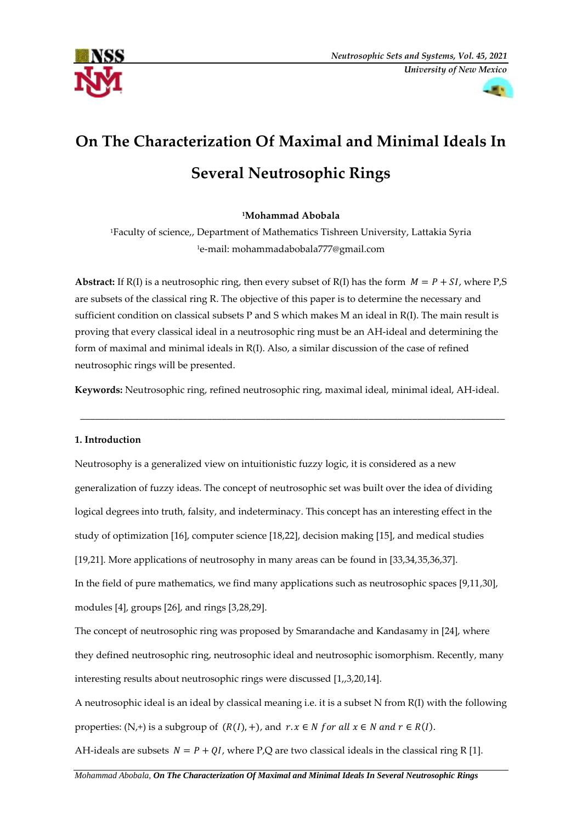



# **On The Characterization Of Maximal and Minimal Ideals In Several Neutrosophic Rings**

# **<sup>1</sup>Mohammad Abobala**

<sup>1</sup>Faculty of science,, Department of Mathematics Tishreen University, Lattakia Syria <sup>1</sup>e-mail: [mohammadabobala777@gmail.com](mailto:mohammadabobala777@gmail.com)

**Abstract:** If R(I) is a neutrosophic ring, then every subset of R(I) has the form  $M = P + SI$ , where P,S are subsets of the classical ring R. The objective of this paper is to determine the necessary and sufficient condition on classical subsets P and S which makes M an ideal in R(I). The main result is proving that every classical ideal in a neutrosophic ring must be an AH-ideal and determining the form of maximal and minimal ideals in R(I). Also, a similar discussion of the case of refined neutrosophic rings will be presented.

**Keywords:** Neutrosophic ring, refined neutrosophic ring, maximal ideal, minimal ideal, AH-ideal.

\_\_\_\_\_\_\_\_\_\_\_\_\_\_\_\_\_\_\_\_\_\_\_\_\_\_\_\_\_\_\_\_\_\_\_\_\_\_\_\_\_\_\_\_\_\_\_\_\_\_\_\_\_\_\_\_\_\_\_\_\_\_\_\_\_\_\_\_\_\_\_\_\_\_\_\_\_\_\_\_\_\_\_\_\_\_\_

# **1. Introduction**

Neutrosophy is a generalized view on intuitionistic fuzzy logic, it is considered as a new generalization of fuzzy ideas. The concept of neutrosophic set was built over the idea of dividing logical degrees into truth, falsity, and indeterminacy. This concept has an interesting effect in the study of optimization [16], computer science [18,22], decision making [15], and medical studies [19,21]. More applications of neutrosophy in many areas can be found in [33,34,35,36,37]. In the field of pure mathematics, we find many applications such as neutrosophic spaces [9,11,30], modules [4], groups [26], and rings [3,28,29].

The concept of neutrosophic ring was proposed by Smarandache and Kandasamy in [24], where they defined neutrosophic ring, neutrosophic ideal and neutrosophic isomorphism. Recently, many interesting results about neutrosophic rings were discussed [1,,3,20,14].

A neutrosophic ideal is an ideal by classical meaning i.e. it is a subset N from R(I) with the following properties: (N,+) is a subgroup of  $(R(I), +)$ , and  $r \cdot x \in N$  for all  $x \in N$  and  $r \in R(I)$ .

AH-ideals are subsets  $N = P + QI$ , where P,Q are two classical ideals in the classical ring R [1].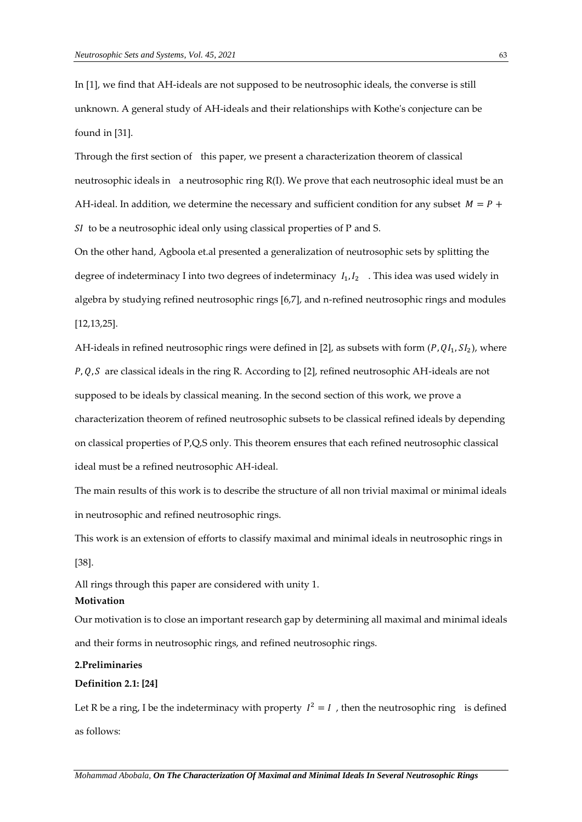In [1], we find that AH-ideals are not supposed to be neutrosophic ideals, the converse is still unknown. A general study of AH-ideals and their relationships with Kothe's conjecture can be found in [31].

Through the first section of this paper, we present a characterization theorem of classical neutrosophic ideals in a neutrosophic ring R(I). We prove that each neutrosophic ideal must be an AH-ideal. In addition, we determine the necessary and sufficient condition for any subset  $M = P +$ SI to be a neutrosophic ideal only using classical properties of P and S.

On the other hand, Agboola et.al presented a generalization of neutrosophic sets by splitting the degree of indeterminacy I into two degrees of indeterminacy  $I_1, I_2$ . This idea was used widely in algebra by studying refined neutrosophic rings [6,7], and n-refined neutrosophic rings and modules [12,13,25].

AH-ideals in refined neutrosophic rings were defined in [2], as subsets with form  $(P, QI_1, SI_2)$ , where  $P$ ,  $Q$ ,  $S$  are classical ideals in the ring R. According to [2], refined neutrosophic AH-ideals are not supposed to be ideals by classical meaning. In the second section of this work, we prove a characterization theorem of refined neutrosophic subsets to be classical refined ideals by depending on classical properties of P,Q,S only. This theorem ensures that each refined neutrosophic classical ideal must be a refined neutrosophic AH-ideal.

The main results of this work is to describe the structure of all non trivial maximal or minimal ideals in neutrosophic and refined neutrosophic rings.

This work is an extension of efforts to classify maximal and minimal ideals in neutrosophic rings in [38].

All rings through this paper are considered with unity 1.

#### **Motivation**

Our motivation is to close an important research gap by determining all maximal and minimal ideals and their forms in neutrosophic rings, and refined neutrosophic rings.

#### **2.Preliminaries**

#### **Definition 2.1: [24]**

Let R be a ring, I be the indeterminacy with property  $I^2 = I$ , then the neutrosophic ring is defined as follows: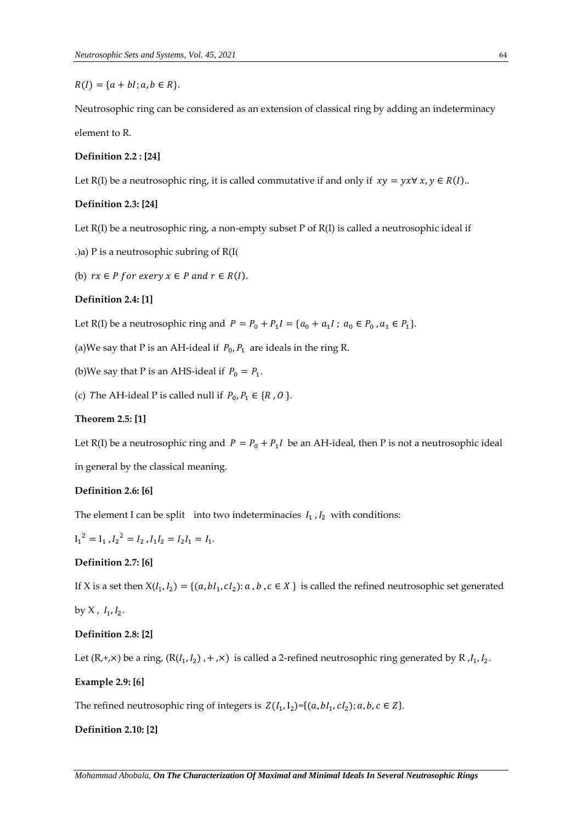$R(I) = \{a + bl; a, b \in R\}.$ 

Neutrosophic ring can be considered as an extension of classical ring by adding an indeterminacy

element to R.

## **Definition 2.2 : [24]**

Let R(I) be a neutrosophic ring, it is called commutative if and only if  $xy = yx \forall x, y \in R(I)$ .

## **Definition 2.3: [24]**

Let  $R(I)$  be a neutrosophic ring, a non-empty subset P of  $R(I)$  is called a neutrosophic ideal if

.)a) P is a neutrosophic subring of  $R(I($ 

(b)  $rx \in P$  for exery  $x \in P$  and  $r \in R(I)$ .

## **Definition 2.4: [1]**

Let R(I) be a neutrosophic ring and  $P = P_0 + P_1 I = \{a_0 + a_1 I : a_0 \in P_0, a_1 \in P_1\}$ .

(a)We say that P is an AH-ideal if  $P_0, P_1$  are ideals in the ring R.

(b)We say that P is an AHS-ideal if  $P_0 = P_1$ .

(c) The AH-ideal P is called null if  $P_0, P_1 \in \{R, 0\}$ .

#### **Theorem 2.5: [1]**

Let R(I) be a neutrosophic ring and  $P = P_0 + P_1 I$  be an AH-ideal, then P is not a neutrosophic ideal

in general by the classical meaning.

## **Definition 2.6: [6]**

The element I can be split into two indeterminacies  $I_1$ ,  $I_2$  with conditions:

 $I_1^2 = I_1$ ,  $I_2^2 = I_2$ ,  $I_1 I_2 = I_2 I_1 = I_1$ .

# **Definition 2.7: [6]**

If X is a set then  $X(I_1, I_2) = \{(a, bl_1, cl_2): a, b, c \in X\}$  is called the refined neutrosophic set generated

by X, 
$$
I_1, I_2
$$
.

### **Definition 2.8: [2]**

Let  $(R, +, \times)$  be a ring,  $(R(I_1, I_2), +, \times)$  is called a 2-refined neutrosophic ring generated by R ,  $I_1, I_2$ .

#### **Example 2.9: [6]**

The refined neutrosophic ring of integers is  $Z(I_1, I_2) = \{(a, bl_1, cl_2); a, b, c \in Z\}$ .

## **Definition 2.10: [2]**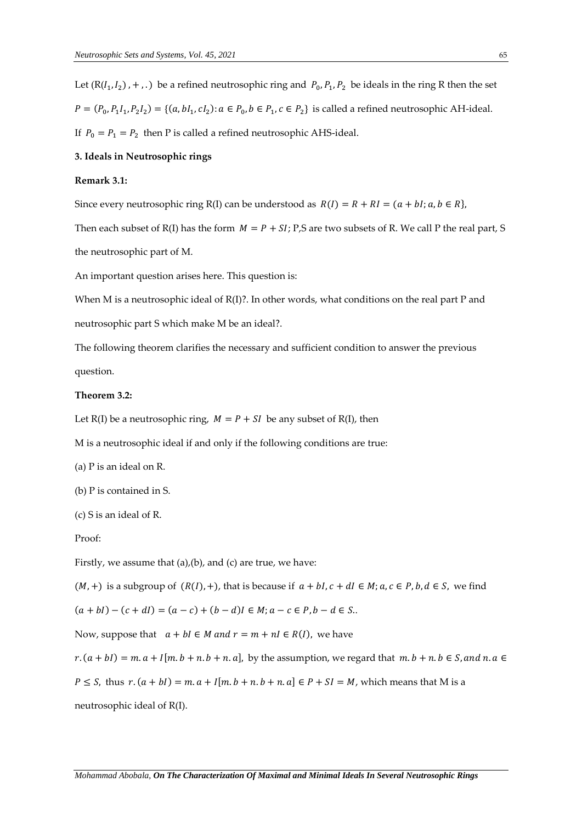Let ( $R(I_1, I_2)$ , +,.) be a refined neutrosophic ring and  $P_0, P_1, P_2$  be ideals in the ring R then the set  $P = (P_0, P_1I_1, P_2I_2) = \{(a, bl_1, cl_2) : a \in P_0, b \in P_1, c \in P_2\}$  is called a refined neutrosophic AH-ideal. If  $P_0 = P_1 = P_2$  then P is called a refined neutrosophic AHS-ideal.

## **3. Ideals in Neutrosophic rings**

#### **Remark 3.1:**

Since every neutrosophic ring R(I) can be understood as  $R(I) = R + RI = (a + bl; a, b \in R)$ ,

Then each subset of R(I) has the form  $M = P + SI$ ; P,S are two subsets of R. We call P the real part, S the neutrosophic part of M.

An important question arises here. This question is:

When M is a neutrosophic ideal of R(I)?. In other words, what conditions on the real part P and neutrosophic part S which make M be an ideal?.

The following theorem clarifies the necessary and sufficient condition to answer the previous question.

## **Theorem 3.2:**

Let R(I) be a neutrosophic ring,  $M = P + SI$  be any subset of R(I), then

M is a neutrosophic ideal if and only if the following conditions are true:

(a) P is an ideal on R.

(b) P is contained in S.

(c) S is an ideal of R.

Proof:

Firstly, we assume that (a),(b), and (c) are true, we have:

 $(M,+)$  is a subgroup of  $(R(I),+)$ , that is because if  $a + bl$ ,  $c + dl \in M$ ;  $a, c \in P$ ,  $b, d \in S$ , we find

 $(a + bl) - (c + dl) = (a - c) + (b - d)I \in M$ ;  $a - c \in P$ ,  $b - d \in S$ ..

Now, suppose that  $a + bl \in M$  and  $r = m + nI \in R(I)$ , we have

 $r.(a + bI) = m.a + I[m.b + n.b + n.a],$  by the assumption, we regard that  $m.b + n.b \in S$ , and  $n.a \in I$ 

 $P \leq S$ , thus  $r \cdot (a + bI) = m \cdot a + I[m \cdot b + n \cdot b + n \cdot a] \in P + SI = M$ , which means that M is a

neutrosophic ideal of R(I).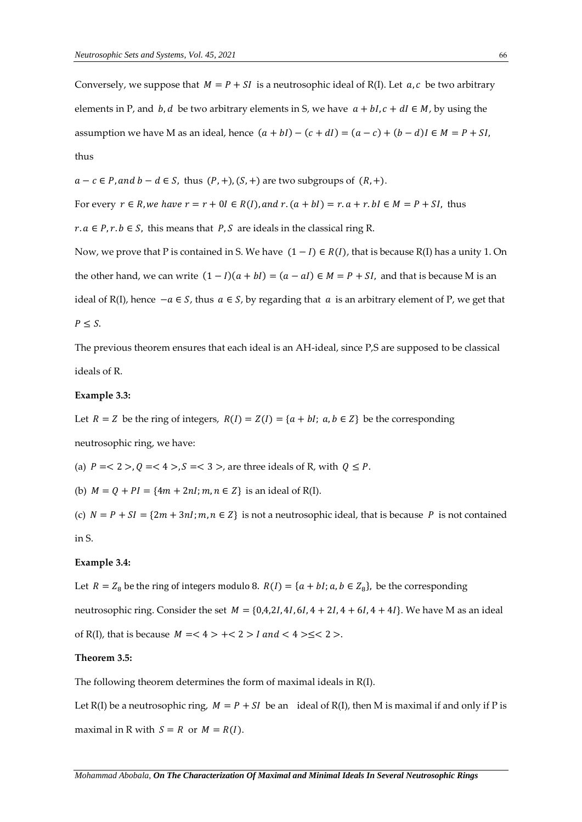Conversely, we suppose that  $M = P + SI$  is a neutrosophic ideal of R(I). Let  $a, c$  be two arbitrary elements in P, and  $b, d$  be two arbitrary elements in S, we have  $a + bl, c + dl \in M$ , by using the assumption we have M as an ideal, hence  $(a + bl) - (c + dl) = (a - c) + (b - d)I \in M = P + SI$ , thus

 $a - c \in P$ , and  $b - d \in S$ , thus  $(P, +)$ ,  $(S, +)$  are two subgroups of  $(R, +)$ .

For every 
$$
r \in R
$$
, we have  $r = r + 0I \in R(I)$ , and  $r.(a + bI) = r.a + r.bI \in M = P + SI$ , thus

 $r.a \in P, r.b \in S$ , this means that  $P, S$  are ideals in the classical ring R.

Now, we prove that P is contained in S. We have  $(1 - I) \in R(I)$ , that is because R(I) has a unity 1. On the other hand, we can write  $(1 - I)(a + bl) = (a - al) \in M = P + SI$ , and that is because M is an ideal of R(I), hence  $-a \in S$ , thus  $a \in S$ , by regarding that  $a$  is an arbitrary element of P, we get that  $P \leq S$ .

The previous theorem ensures that each ideal is an AH-ideal, since P,S are supposed to be classical ideals of R.

## **Example 3.3:**

Let  $R = Z$  be the ring of integers,  $R(I) = Z(I) = \{a + bl; a, b \in Z\}$  be the corresponding

neutrosophic ring, we have:

(a)  $P = < 2 > 0 \le 4 > S = < 3 >$ , are three ideals of R, with  $Q \le P$ .

(b)  $M = Q + PI = \{4m + 2nl; m, n \in Z\}$  is an ideal of R(I).

(c)  $N = P + SI = \{2m + 3nl; m, n \in \mathbb{Z}\}$  is not a neutrosophic ideal, that is because P is not contained in S.

## **Example 3.4:**

Let  $R = Z_8$  be the ring of integers modulo 8.  $R(I) = \{a + bl; a, b \in Z_8\}$ , be the corresponding neutrosophic ring. Consider the set  $M = \{0,4,2I,4I,6I,4+2I,4+6I,4+4I\}$ . We have M as an ideal of R(I), that is because  $M = < 4 > + < 2 > I$  and  $< 4 > \leq < 2 >$ .

## **Theorem 3.5:**

The following theorem determines the form of maximal ideals in R(I).

Let R(I) be a neutrosophic ring,  $M = P + SI$  be an ideal of R(I), then M is maximal if and only if P is maximal in R with  $S = R$  or  $M = R(I)$ .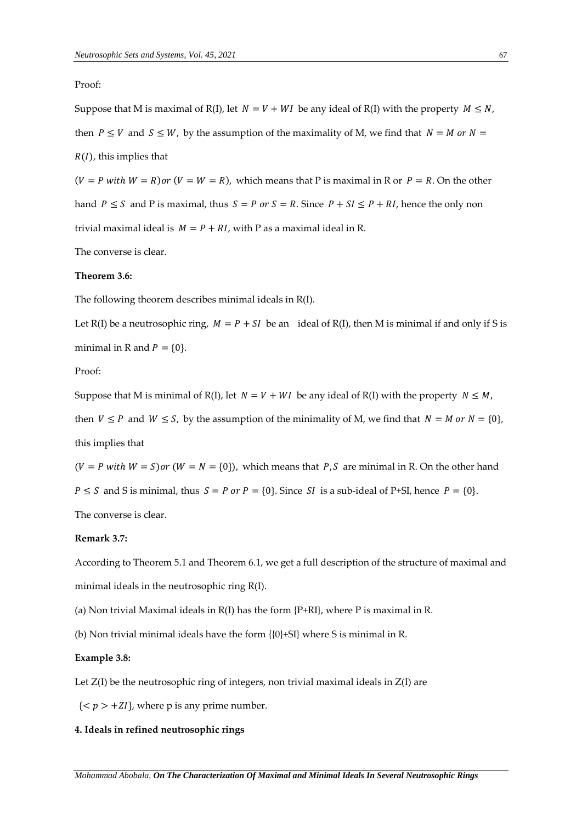Proof:

Suppose that M is maximal of R(I), let  $N = V + WI$  be any ideal of R(I) with the property  $M \le N$ , then  $P \le V$  and  $S \le W$ , by the assumption of the maximality of M, we find that  $N = M$  or  $N =$  $R(I)$ , this implies that

 $(V = P$  with  $W = R$ ) or  $(V = W = R)$ , which means that P is maximal in R or  $P = R$ . On the other hand  $P \leq S$  and P is maximal, thus  $S = P$  or  $S = R$ . Since  $P + SI \leq P + RI$ , hence the only non trivial maximal ideal is  $M = P + RI$ , with P as a maximal ideal in R.

The converse is clear.

#### **Theorem 3.6:**

The following theorem describes minimal ideals in R(I).

Let R(I) be a neutrosophic ring,  $M = P + SI$  be an ideal of R(I), then M is minimal if and only if S is minimal in R and  $P = \{0\}$ .

## Proof:

Suppose that M is minimal of R(I), let  $N = V + WI$  be any ideal of R(I) with the property  $N \le M$ , then  $V \leq P$  and  $W \leq S$ , by the assumption of the minimality of M, we find that  $N = M$  or  $N = \{0\}$ ,

this implies that

 $(V = P$  with  $W = S$ ) or  $(W = N = \{0\})$ , which means that P, S are minimal in R. On the other hand  $P \leq S$  and S is minimal, thus  $S = P$  or  $P = \{0\}$ . Since SI is a sub-ideal of P+SI, hence  $P = \{0\}$ .

The converse is clear.

## **Remark 3.7:**

According to Theorem 5.1 and Theorem 6.1, we get a full description of the structure of maximal and minimal ideals in the neutrosophic ring R(I).

(a) Non trivial Maximal ideals in  $R(I)$  has the form  ${P+RI}$ , where P is maximal in R.

(b) Non trivial minimal ideals have the form {{0}+SI} where S is minimal in R.

## **Example 3.8:**

Let Z(I) be the neutrosophic ring of integers, non trivial maximal ideals in Z(I) are

 $\{< p > +ZI\}$ , where p is any prime number.

#### **4. Ideals in refined neutrosophic rings**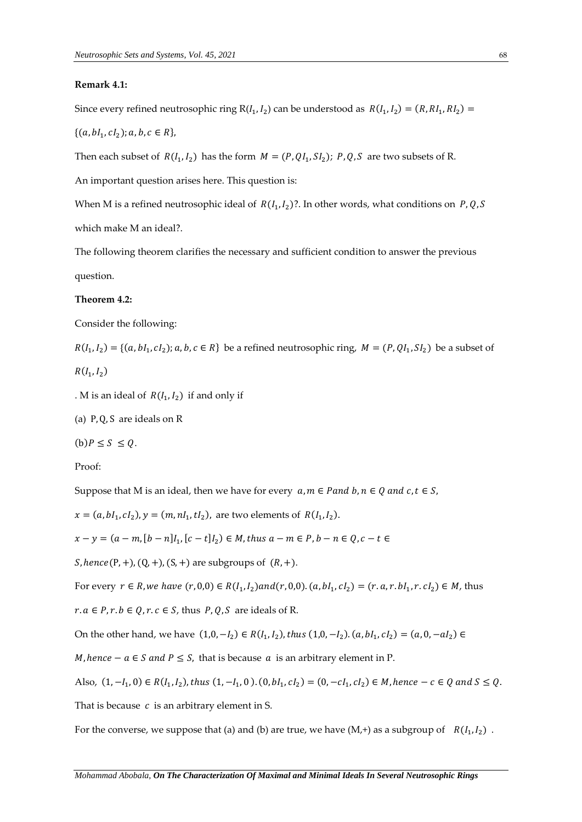## **Remark 4.1:**

Since every refined neutrosophic ring  $R(I_1, I_2)$  can be understood as  $R(I_1, I_2) = (R, R I_1, R I_2) =$ 

 $\{(a, bl_1, cl_2); a, b, c \in R\},\$ 

Then each subset of  $R(I_1, I_2)$  has the form  $M = (P, QI_1, SI_2)$ ; P, Q, S are two subsets of R.

An important question arises here. This question is:

When M is a refined neutrosophic ideal of  $R(I_1,I_2)$ ?. In other words, what conditions on  $P$ , Q, S which make M an ideal?.

The following theorem clarifies the necessary and sufficient condition to answer the previous question.

#### **Theorem 4.2:**

Consider the following:

 $R(I_1, I_2) = \{(a, bl_1, cl_2); a, b, c \in R\}$  be a refined neutrosophic ring,  $M = (P, QI_1, SI_2)$  be a subset of  $R(I_1, I_2)$ 

. M is an ideal of  $R(I_1, I_2)$  if and only if

(a) P, Q, S are ideals on R

 $(b)P \leq S \leq Q$ .

Proof:

Suppose that M is an ideal, then we have for every  $a, m \in$  *Pand b, n*  $\in$  *Q and c, t*  $\in$  *S*,

 $x = (a, bl_1, cl_2), y = (m, nl_1, tl_2),$  are two elements of  $R(I_1, I_2)$ .

 $x - y = (a - m, [b - n]I_1, [c - t]I_2) \in M$ , thus  $a - m \in P$ ,  $b - n \in Q$ ,  $c - t \in \mathbb{R}$ 

 $S, hence (P, +), (Q, +), (S, +)$  are subgroups of  $(R, +)$ .

For every  $r \in R$ , we have  $(r, 0, 0) \in R(I_1, I_2)$  and  $(r, 0, 0)$ .  $(a, bl_1, cl_2) = (r.a, r.bI_1, r(cl_2) \in M$ , thus

 $r \cdot a \in P, r \cdot b \in Q, r \cdot c \in S$ , thus  $P, Q, S$  are ideals of R.

On the other hand, we have  $(1,0,-I_2) \in R(I_1,I_2)$ , thus  $(1,0,-I_2)$ .  $(a,bl_1,cl_2) = (a,0,-al_2) \in R(I_1,I_2)$ 

*M*, hence  $-\alpha \in S$  and  $P \leq S$ , that is because  $\alpha$  is an arbitrary element in P.

Also, 
$$
(1, -l_1, 0) \in R(l_1, l_2)
$$
, thus  $(1, -l_1, 0)$ .  $(0, bl_1, cl_2) = (0, -cl_1, cl_2) \in M$ , hence  $-c \in Q$  and  $S \leq Q$ .

That is because  $c$  is an arbitrary element in S.

For the converse, we suppose that (a) and (b) are true, we have (M,+) as a subgroup of  $R(I_1,I_2)$ .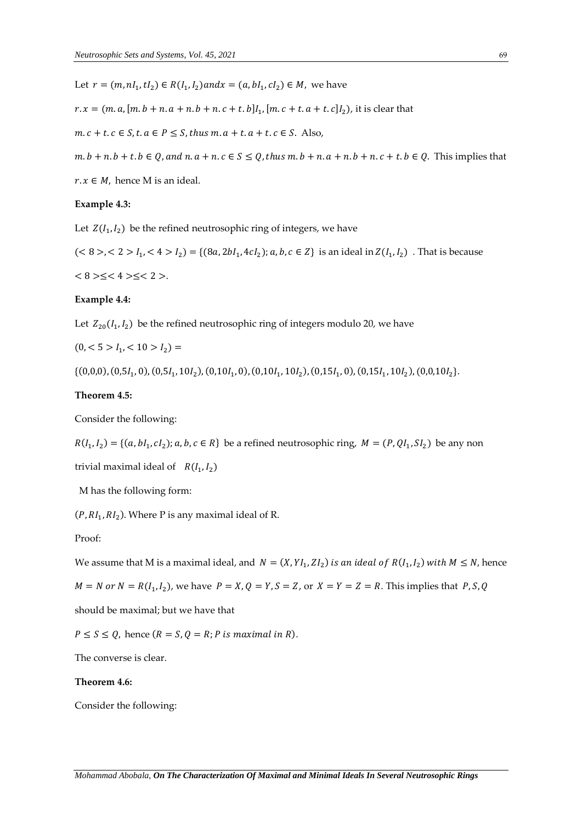Let  $r = (m, nI_1, tI_2) \in R(I_1, I_2)$  and  $x = (a, bl_1, cl_2) \in M$ , we have

 $r x = (m.a, [m.b + n.a + n.b + n.c + t.b]I_1, [m.c + t.a + t.c]I_2)$ , it is clear that

 $m.c + t.c \in S, t.a \in P \leq S, thus m.a + t.a + t.c \in S.$  Also,

 $m.b + n.b + t.b \in Q$ , and  $n.a + n.c \in S \le Q$ , thus  $m.b + n.a + n.b + n.c + t.b \in Q$ . This implies that

 $r \cdot x \in M$ , hence M is an ideal.

#### **Example 4.3:**

Let  $Z(I_1, I_2)$  be the refined neutrosophic ring of integers, we have

 $(< 8 >, < 2 > I_1, < 4 > I_2) = \{(8a, 2bl_1, 4cl_2); a, b, c \in \mathbb{Z}\}\$ is an ideal in  $\mathbb{Z}(I_1, I_2)$ . That is because  $< 8 > << 4 > << 2 >$ .

#### **Example 4.4:**

Let  $Z_{20}(I_1,I_2)$  be the refined neutrosophic ring of integers modulo 20, we have

$$
(0, <5>l_1, <10>l_2) =
$$

 $\{(0,0,0), (0,5I_1,0), (0,5I_1,10I_2), (0,10I_1,0), (0,10I_1,10I_2), (0,15I_1,0), (0,15I_1,10I_2), (0,0,10I_2\}.$ 

## **Theorem 4.5:**

Consider the following:

 $R(I_1, I_2) = \{(a, bl_1, cl_2); a, b, c \in R\}$  be a refined neutrosophic ring,  $M = (P, QI_1, SI_2)$  be any non

trivial maximal ideal of  $R(I_1, I_2)$ 

M has the following form:

 $(P, RI_1, RI_2)$ . Where P is any maximal ideal of R.

Proof:

We assume that M is a maximal ideal, and  $N = (X, YI_1, ZI_2)$  is an ideal of  $R(I_1, I_2)$  with  $M \leq N$ , hence

 $M = N$  or  $N = R(I_1, I_2)$ , we have  $P = X, Q = Y, S = Z$ , or  $X = Y = Z = R$ . This implies that P, S, Q

should be maximal; but we have that

 $P \leq S \leq Q$ , hence  $(R = S, Q = R; P$  is maximal in R).

The converse is clear.

#### **Theorem 4.6:**

Consider the following: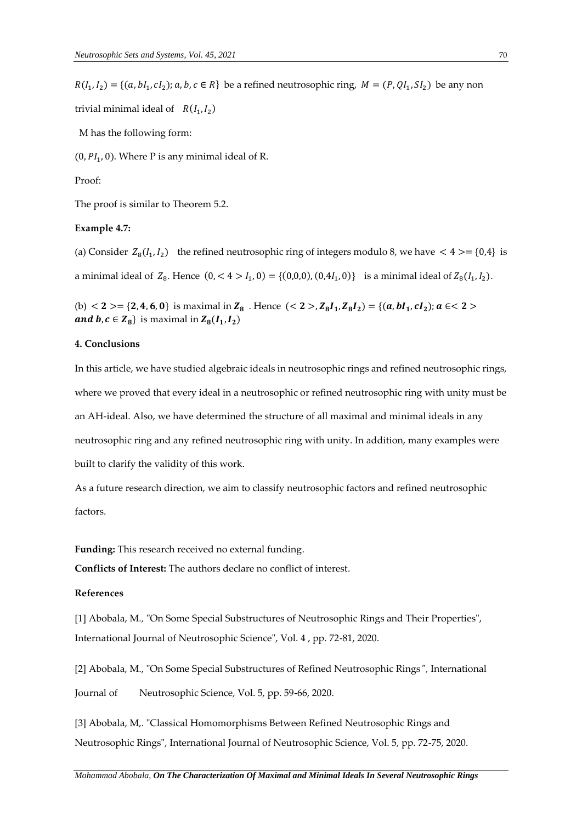$R(I_1, I_2) = \{(a, bl_1, cl_2); a, b, c \in R\}$  be a refined neutrosophic ring,  $M = (P, QI_1, SI_2)$  be any non

trivial minimal ideal of  $R(I_1, I_2)$ 

M has the following form:

 $(0, PI_1, 0)$ . Where P is any minimal ideal of R.

#### Proof:

The proof is similar to Theorem 5.2.

#### **Example 4.7:**

(a) Consider  $Z_8(I_1,I_2)$  the refined neutrosophic ring of integers modulo 8, we have  $\langle 4 \rangle = \{0,4\}$  is a minimal ideal of  $Z_8$ . Hence  $(0, < 4 > I_1, 0) = \{(0,0,0), (0,4I_1, 0)\}$  is a minimal ideal of  $Z_8(I_1, I_2)$ .

(b)  $< 2 > = \{2, 4, 6, 0\}$  is maximal in  $Z_8$ . Hence  $(< 2 > Z_8 I_1, Z_8 I_2) = \{(a, bI_1, cI_2); a \in < 2 >$ and  $b, c \in Z_8$  is maximal in  $Z_8(I_1, I_2)$ 

#### **4. Conclusions**

In this article, we have studied algebraic ideals in neutrosophic rings and refined neutrosophic rings, where we proved that every ideal in a neutrosophic or refined neutrosophic ring with unity must be an AH-ideal. Also, we have determined the structure of all maximal and minimal ideals in any neutrosophic ring and any refined neutrosophic ring with unity. In addition, many examples were built to clarify the validity of this work.

As a future research direction, we aim to classify neutrosophic factors and refined neutrosophic factors.

**Funding:** This research received no external funding.

**Conflicts of Interest:** The authors declare no conflict of interest.

# **References**

[1] Abobala, M*.,* "On Some Special Substructures of Neutrosophic Rings and Their Properties", International Journal of Neutrosophic Science", Vol. 4 , pp. 72-81, 2020.

[2] Abobala, M., "On Some Special Substructures of Refined Neutrosophic Rings*",* International Journal of Neutrosophic Science, Vol. 5, pp. 59-66, 2020.

[3] Abobala, M,. "Classical Homomorphisms Between Refined Neutrosophic Rings and Neutrosophic Rings", International Journal of Neutrosophic Science, Vol. 5, pp. 72-75, 2020.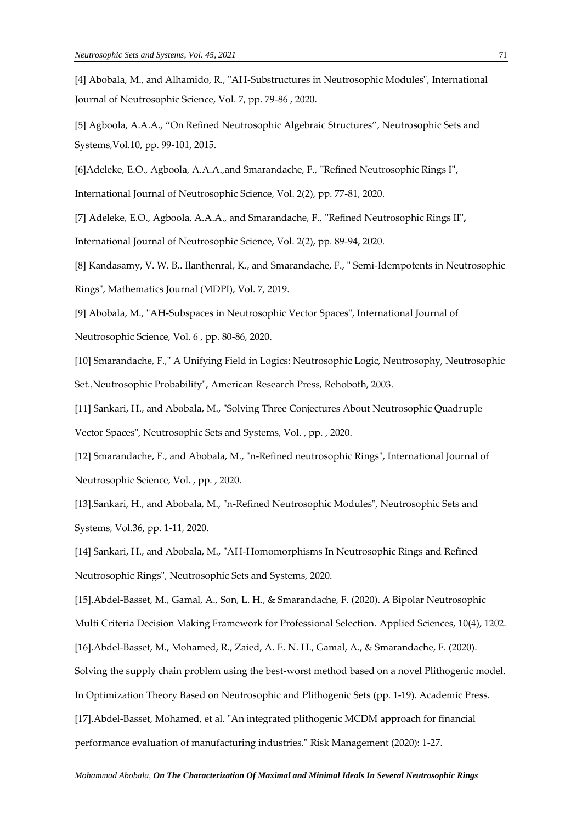[4] Abobala, M., and Alhamido, R., "AH-Substructures in Neutrosophic Modules", International Journal of Neutrosophic Science, Vol. 7, pp. 79-86 , 2020.

[5] Agboola, A.A.A., "On Refined Neutrosophic Algebraic Structures", Neutrosophic Sets and Systems,Vol.10, pp. 99-101, 2015.

[6]Adeleke, E.O., Agboola, A.A.A.,and Smarandache, F., **"**Refined Neutrosophic Rings I**",**

International Journal of Neutrosophic Science, Vol. 2(2), pp. 77-81, 2020.

[7] Adeleke, E.O., Agboola, A.A.A., and Smarandache, F., **"**Refined Neutrosophic Rings II**",**

International Journal of Neutrosophic Science, Vol. 2(2), pp. 89-94, 2020.

[8] Kandasamy, V. W. B,. Ilanthenral, K., and Smarandache, F., " Semi-Idempotents in Neutrosophic

Rings", Mathematics Journal (MDPI), Vol. 7, 2019.

[9] Abobala, M., "AH-Subspaces in Neutrosophic Vector Spaces", International Journal of

Neutrosophic Science, Vol. 6 , pp. 80-86, 2020.

[10] Smarandache, F.," A Unifying Field in Logics: Neutrosophic Logic, Neutrosophy, Neutrosophic Set.,Neutrosophic Probability", American Research Press, Rehoboth, 2003.

[11] Sankari, H., and Abobala, M., "Solving Three Conjectures About Neutrosophic Quadruple Vector Spaces", Neutrosophic Sets and Systems, Vol. , pp. , 2020.

[12] Smarandache, F., and Abobala, M., "n-Refined neutrosophic Rings", International Journal of Neutrosophic Science, Vol. , pp. , 2020.

[13].Sankari, H., and Abobala, M., "n-Refined Neutrosophic Modules", Neutrosophic Sets and Systems, Vol.36, pp. 1-11, 2020.

[14] Sankari, H., and Abobala, M., "AH-Homomorphisms In Neutrosophic Rings and Refined Neutrosophic Rings", Neutrosophic Sets and Systems, 2020.

[15].Abdel-Basset, M., Gamal, A., Son, L. H., & Smarandache, F. (2020). A Bipolar Neutrosophic

Multi Criteria Decision Making Framework for Professional Selection. Applied Sciences, 10(4), 1202.

[16].Abdel-Basset, M., Mohamed, R., Zaied, A. E. N. H., Gamal, A., & Smarandache, F. (2020).

Solving the supply chain problem using the best-worst method based on a novel Plithogenic model.

In Optimization Theory Based on Neutrosophic and Plithogenic Sets (pp. 1-19). Academic Press.

[17].Abdel-Basset, Mohamed, et al. "An integrated plithogenic MCDM approach for financial

performance evaluation of manufacturing industries." Risk Management (2020): 1-27.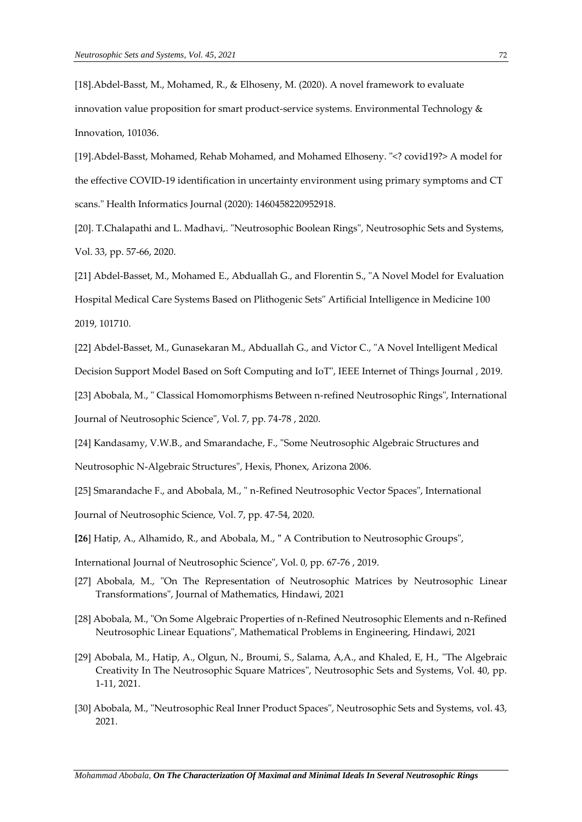[18].Abdel-Basst, M., Mohamed, R., & Elhoseny, M. (2020). A novel framework to evaluate innovation value proposition for smart product-service systems. Environmental Technology & Innovation, 101036.

[19].Abdel-Basst, Mohamed, Rehab Mohamed, and Mohamed Elhoseny. "<? covid19?> A model for the effective COVID-19 identification in uncertainty environment using primary symptoms and CT scans." Health Informatics Journal (2020): 1460458220952918.

[20]. T.Chalapathi and L. Madhavi,. "Neutrosophic Boolean Rings", Neutrosophic Sets and Systems, Vol. 33, pp. 57-66, 2020.

[21] Abdel-Basset, M., Mohamed E., Abduallah G., and Florentin S., "A Novel Model for Evaluation

Hospital Medical Care Systems Based on Plithogenic Sets" Artificial Intelligence in Medicine 100 2019, 101710.

[22] Abdel-Basset, M., Gunasekaran M., Abduallah G., and Victor C., "A Novel Intelligent Medical

Decision Support Model Based on Soft Computing and IoT", IEEE Internet of Things Journal , 2019.

[23] Abobala, M., " Classical Homomorphisms Between n-refined Neutrosophic Rings", International

Journal of Neutrosophic Science", Vol. 7, pp. 74-78 , 2020.

[24] Kandasamy, V.W.B., and Smarandache, F., "Some Neutrosophic Algebraic Structures and

Neutrosophic N-Algebraic Structures", Hexis, Phonex, Arizona 2006.

[25] Smarandache F., and Abobala, M., " n-Refined Neutrosophic Vector Spaces", International

Journal of Neutrosophic Science, Vol. 7, pp. 47-54, 2020.

**[26**] Hatip, A., Alhamido, R., and Abobala, M., **"** A Contribution to Neutrosophic Groups",

International Journal of Neutrosophic Science", Vol. 0, pp. 67-76 , 2019.

- [27] Abobala, M., "On The Representation of Neutrosophic Matrices by Neutrosophic Linear Transformations", Journal of Mathematics, Hindawi, 2021
- [28] Abobala, M., "On Some Algebraic Properties of n-Refined Neutrosophic Elements and n-Refined Neutrosophic Linear Equations", Mathematical Problems in Engineering, Hindawi, 2021
- [29] Abobala, M., Hatip, A., Olgun, N., Broumi, S., Salama, A,A., and Khaled, E, H., "The Algebraic Creativity In The Neutrosophic Square Matrices", Neutrosophic Sets and Systems, Vol. 40, pp. 1-11, 2021.
- [30] Abobala, M., "Neutrosophic Real Inner Product Spaces", Neutrosophic Sets and Systems, vol. 43, 2021.